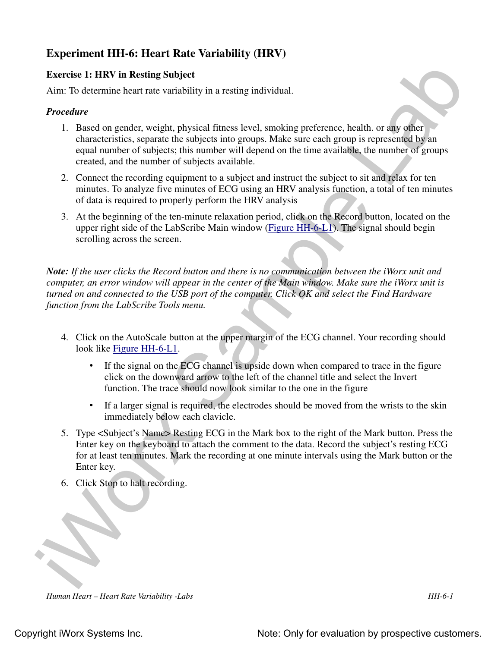# **Experiment HH-6: Heart Rate Variability (HRV)**

## **Exercise 1: HRV in Resting Subject**

Aim: To determine heart rate variability in a resting individual.

## *Procedure*

- 1. Based on gender, weight, physical fitness level, smoking preference, health. or any other characteristics, separate the subjects into groups. Make sure each group is represented by an equal number of subjects; this number will depend on the time available, the number of groups created, and the number of subjects available.
- 2. Connect the recording equipment to a subject and instruct the subject to sit and relax for ten minutes. To analyze five minutes of ECG using an HRV analysis function, a total of ten minutes of data is required to properly perform the HRV analysis
- 3. At the beginning of the ten-minute relaxation period, click on the Record button, located on the upper right side of the LabScribe Main window (Figure HH-6-L1). The signal should begin scrolling across the screen.

Exercise 1: HIW in Resting Subject<br>
Exercise 1: HIW in Resting Subject<br>
Aim: To determine heart rate variability in a resisting individual.<br>
Procedure<br>
1. Bused on gender, weight, physical filmes level, smoking preference *Note: If the user clicks the Record button and there is no communication between the iWorx unit and computer, an error window will appear in the center of the Main window. Make sure the iWorx unit is turned on and connected to the USB port of the computer. Click OK and select the Find Hardware function from the LabScribe Tools menu.* 

- 4. Click on the AutoScale button at the upper margin of the ECG channel. Your recording should look like Figure HH-6-L1.
	- If the signal on the ECG channel is upside down when compared to trace in the figure click on the downward arrow to the left of the channel title and select the Invert function. The trace should now look similar to the one in the figure
	- If a larger signal is required, the electrodes should be moved from the wrists to the skin immediately below each clavicle.
- 5. Type <Subject's Name> Resting ECG in the Mark box to the right of the Mark button. Press the Enter key on the keyboard to attach the comment to the data. Record the subject's resting ECG for at least ten minutes. Mark the recording at one minute intervals using the Mark button or the Enter key.
- 6. Click Stop to halt recording.

*Human Heart – Heart Rate Variability -Labs HH-6-1*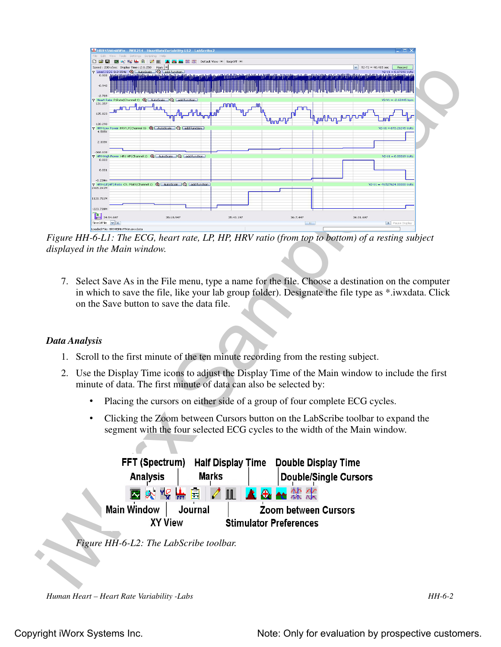

*Figure HH-6-L1: The ECG, heart rate, LP, HP, HRV ratio (from top to bottom) of a resting subject displayed in the Main window.*

7. Select Save As in the File menu, type a name for the file. Choose a destination on the computer in which to save the file, like your lab group folder). Designate the file type as \*.iwxdata. Click on the Save button to save the data file.

### *Data Analysis*

- 1. Scroll to the first minute of the ten minute recording from the resting subject.
- 2. Use the Display Time icons to adjust the Display Time of the Main window to include the first minute of data. The first minute of data can also be selected by:
	- Placing the cursors on either side of a group of four complete ECG cycles.
	- Clicking the Zoom between Cursors button on the LabScribe toolbar to expand the segment with the four selected ECG cycles to the width of the Main window.

| <b>FFT (Spectrum)</b> | <b>Half Display Time</b> |                             | <b>Double Display Time</b>    |  |  |  |  |
|-----------------------|--------------------------|-----------------------------|-------------------------------|--|--|--|--|
| <b>Analysis</b>       | <b>Marks</b>             |                             | <b>Double/Single Cursors</b>  |  |  |  |  |
|                       | 图※ Y9 监自 ノ皿 ▲&▲然次        |                             |                               |  |  |  |  |
| <b>Main Window</b>    | Journal                  | <b>Zoom between Cursors</b> |                               |  |  |  |  |
| <b>XY View</b>        |                          |                             | <b>Stimulator Preferences</b> |  |  |  |  |

*Figure HH-6-L2: The LabScribe toolbar.*

*Human Heart – Heart Rate Variability -Labs HH-6-2*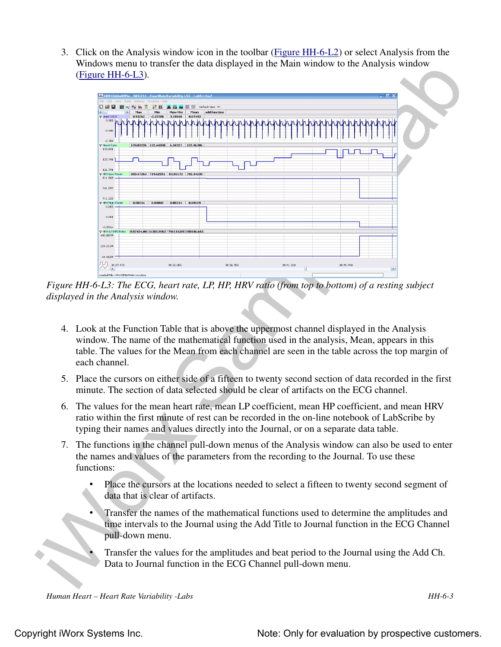3. Click on the Analysis window icon in the toolbar (Figure HH-6-L2) or select Analysis from the Windows menu to transfer the data displayed in the Main window to the Analysis window (Figure HH-6-L3).



*Figure HH-6-L3: The ECG, heart rate, LP, HP, HRV ratio (from top to bottom) of a resting subject displayed in the Analysis window.*

- 4. Look at the Function Table that is above the uppermost channel displayed in the Analysis window. The name of the mathematical function used in the analysis, Mean, appears in this table. The values for the Mean from each channel are seen in the table across the top margin of each channel.
- 5. Place the cursors on either side of a fifteen to twenty second section of data recorded in the first minute. The section of data selected should be clear of artifacts on the ECG channel.
- 6. The values for the mean heart rate, mean LP coefficient, mean HP coefficient, and mean HRV ratio within the first minute of rest can be recorded in the on-line notebook of LabScribe by typing their names and values directly into the Journal, or on a separate data table.
- 7. The functions in the channel pull-down menus of the Analysis window can also be used to enter the names and values of the parameters from the recording to the Journal. To use these functions:
	- Place the cursors at the locations needed to select a fifteen to twenty second segment of data that is clear of artifacts.
	- Transfer the names of the mathematical functions used to determine the amplitudes and time intervals to the Journal using the Add Title to Journal function in the ECG Channel pull-down menu.
		- Transfer the values for the amplitudes and beat period to the Journal using the Add Ch. Data to Journal function in the ECG Channel pull-down menu.

*Human Heart – Heart Rate Variability -Labs HH-6-3*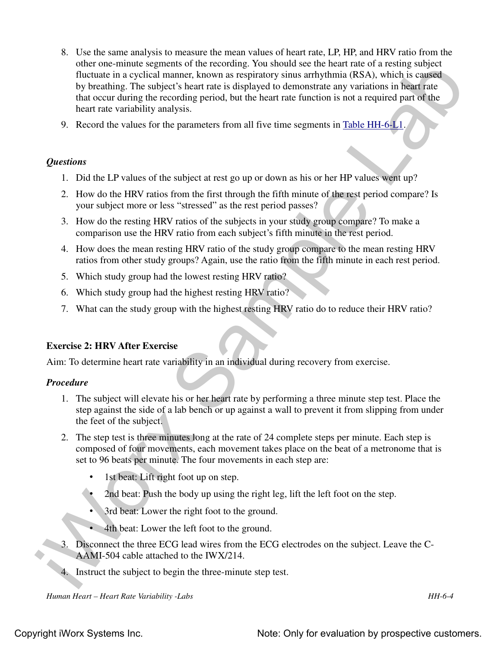- other one minute eigenesis of the recording Vou should size the heliot risk of a restingue ship that the contribution (BSA), which is caused<br>by breathing the subject is president for each signification is more distinguish 8. Use the same analysis to measure the mean values of heart rate, LP, HP, and HRV ratio from the other one-minute segments of the recording. You should see the heart rate of a resting subject fluctuate in a cyclical manner, known as respiratory sinus arrhythmia (RSA), which is caused by breathing. The subject's heart rate is displayed to demonstrate any variations in heart rate that occur during the recording period, but the heart rate function is not a required part of the heart rate variability analysis.
	- 9. Record the values for the parameters from all five time segments in Table HH-6-L1.

#### *Questions*

- 1. Did the LP values of the subject at rest go up or down as his or her HP values went up?
- 2. How do the HRV ratios from the first through the fifth minute of the rest period compare? Is your subject more or less "stressed" as the rest period passes?
- 3. How do the resting HRV ratios of the subjects in your study group compare? To make a comparison use the HRV ratio from each subject's fifth minute in the rest period.
- 4. How does the mean resting HRV ratio of the study group compare to the mean resting HRV ratios from other study groups? Again, use the ratio from the fifth minute in each rest period.
- 5. Which study group had the lowest resting HRV ratio?
- 6. Which study group had the highest resting HRV ratio?
- 7. What can the study group with the highest resting HRV ratio do to reduce their HRV ratio?

### **Exercise 2: HRV After Exercise**

Aim: To determine heart rate variability in an individual during recovery from exercise.

#### *Procedure*

- 1. The subject will elevate his or her heart rate by performing a three minute step test. Place the step against the side of a lab bench or up against a wall to prevent it from slipping from under the feet of the subject.
- 2. The step test is three minutes long at the rate of 24 complete steps per minute. Each step is composed of four movements, each movement takes place on the beat of a metronome that is set to 96 beats per minute. The four movements in each step are:
	- 1st beat: Lift right foot up on step.
	- 2nd beat: Push the body up using the right leg, lift the left foot on the step.
	- 3rd beat: Lower the right foot to the ground.
	- 4th beat: Lower the left foot to the ground.
- 3. Disconnect the three ECG lead wires from the ECG electrodes on the subject. Leave the C-AAMI-504 cable attached to the IWX/214.
- 4. Instruct the subject to begin the three-minute step test.

*Human Heart – Heart Rate Variability -Labs HH-6-4*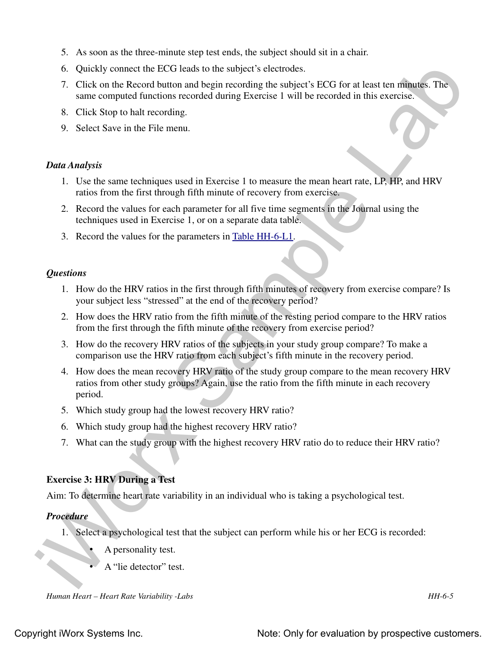- 5. As soon as the three-minute step test ends, the subject should sit in a chair.
- 6. Quickly connect the ECG leads to the subject's electrodes.
- 7. Click on the Record button and begin recording the subject's ECG for at least ten minutes. The same computed functions recorded during Exercise 1 will be recorded in this exercise.
- 8. Click Stop to halt recording.
- 9. Select Save in the File menu.

### *Data Analysis*

- 1. Use the same techniques used in Exercise 1 to measure the mean heart rate, LP, HP, and HRV ratios from the first through fifth minute of recovery from exercise.
- 2. Record the values for each parameter for all five time segments in the Journal using the techniques used in Exercise 1, or on a separate data table.
- 3. Record the values for the parameters in Table HH-6-L1.

## *Questions*

- 1. How do the HRV ratios in the first through fifth minutes of recovery from exercise compare? Is your subject less "stressed" at the end of the recovery period?
- 2. How does the HRV ratio from the fifth minute of the resting period compare to the HRV ratios from the first through the fifth minute of the recovery from exercise period?
- 3. How do the recovery HRV ratios of the subjects in your study group compare? To make a comparison use the HRV ratio from each subject's fifth minute in the recovery period.
- 6. Quickly connect the LCG leads to the subject's electrodes.<br>
7. Click on the Record tuttoon and begin econdige the subject's ECG for at least ten minuscs. The<br>
same computed functions recorded during Exercise 1 will be 4. How does the mean recovery HRV ratio of the study group compare to the mean recovery HRV ratios from other study groups? Again, use the ratio from the fifth minute in each recovery period.
	- 5. Which study group had the lowest recovery HRV ratio?
	- 6. Which study group had the highest recovery HRV ratio?
	- 7. What can the study group with the highest recovery HRV ratio do to reduce their HRV ratio?

## **Exercise 3: HRV During a Test**

Aim: To determine heart rate variability in an individual who is taking a psychological test.

### *Procedure*

- 1. Select a psychological test that the subject can perform while his or her ECG is recorded:
	- A personality test.
	- A "lie detector" test.

*Human Heart – Heart Rate Variability -Labs HH-6-5*

Copyright iWorx Systems Inc. The Copyright iWorx Systems Inc. Note: Only for evaluation by prospective customers.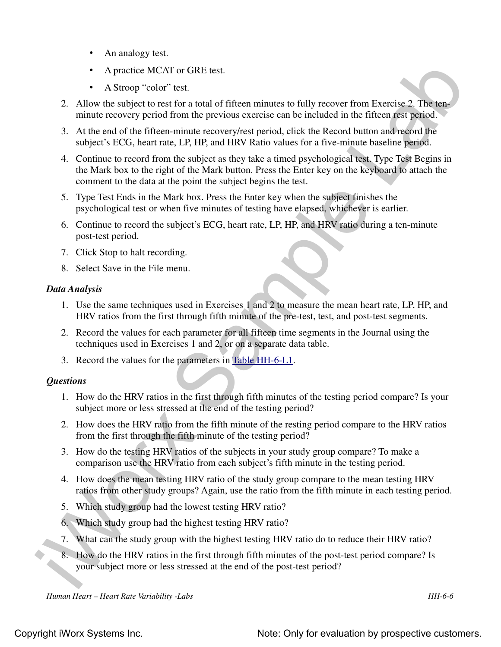- An analogy test.
- A practice MCAT or GRE test.
- A Stroop "color" test.
- 2. Allow the subject to rest for a total of fifteen minutes to fully recover from Exercise 2. The tenminute recovery period from the previous exercise can be included in the fifteen rest period.
- 3. At the end of the fifteen-minute recovery/rest period, click the Record button and record the subject's ECG, heart rate, LP, HP, and HRV Ratio values for a five-minute baseline period.
- **A** procedure MCAT or GRL test.<br> **A** A strong "color" est.<br> **A** A Strong "color" est.<br> **A** A Norw the subject in ear for a total of fifteen minutes to fully recover from Frenchet 2. This task<br>
minute convery period from 4. Continue to record from the subject as they take a timed psychological test. Type Test Begins in the Mark box to the right of the Mark button. Press the Enter key on the keyboard to attach the comment to the data at the point the subject begins the test.
	- 5. Type Test Ends in the Mark box. Press the Enter key when the subject finishes the psychological test or when five minutes of testing have elapsed, whichever is earlier.
	- 6. Continue to record the subject's ECG, heart rate, LP, HP, and HRV ratio during a ten-minute post-test period.
	- 7. Click Stop to halt recording.
	- 8. Select Save in the File menu.

## *Data Analysis*

- 1. Use the same techniques used in Exercises 1 and 2 to measure the mean heart rate, LP, HP, and HRV ratios from the first through fifth minute of the pre-test, test, and post-test segments.
- 2. Record the values for each parameter for all fifteen time segments in the Journal using the techniques used in Exercises 1 and 2, or on a separate data table.
- 3. Record the values for the parameters in Table HH-6-L1.

## *Questions*

- 1. How do the HRV ratios in the first through fifth minutes of the testing period compare? Is your subject more or less stressed at the end of the testing period?
- 2. How does the HRV ratio from the fifth minute of the resting period compare to the HRV ratios from the first through the fifth minute of the testing period?
- 3. How do the testing HRV ratios of the subjects in your study group compare? To make a comparison use the HRV ratio from each subject's fifth minute in the testing period.
- 4. How does the mean testing HRV ratio of the study group compare to the mean testing HRV ratios from other study groups? Again, use the ratio from the fifth minute in each testing period.
- 5. Which study group had the lowest testing HRV ratio?
- 6. Which study group had the highest testing HRV ratio?
- 7. What can the study group with the highest testing HRV ratio do to reduce their HRV ratio?
- 8. How do the HRV ratios in the first through fifth minutes of the post-test period compare? Is your subject more or less stressed at the end of the post-test period?

*Human Heart – Heart Rate Variability -Labs HH-6-6*